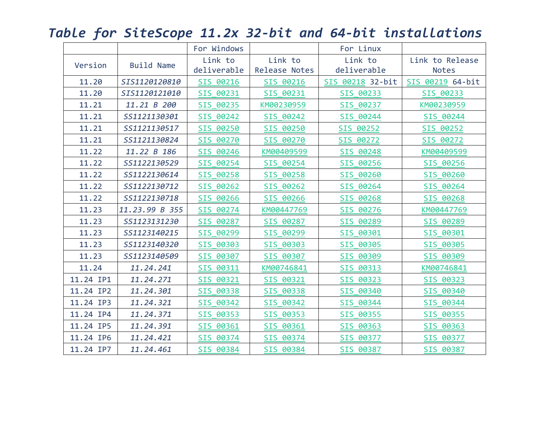|           |                   | For Windows |                     | For Linux        |                  |
|-----------|-------------------|-------------|---------------------|------------------|------------------|
| Version   | <b>Build Name</b> | Link to     | Link to             | Link to          | Link to Release  |
|           |                   | deliverable | Release Notes       | deliverable      | <b>Notes</b>     |
| 11.20     | SIS1120120810     | SIS 00216   | SIS 00216           | SIS 00218 32-bit | SIS 00219 64-bit |
| 11.20     | SIS1120121010     | SIS 00231   | SIS 00231           | SIS 00233        | SIS 00233        |
| 11.21     | 11.21 B 200       | SIS 00235   | KM00230959          | SIS 00237        | KM00230959       |
| 11.21     | SS1121130301      | SIS 00242   | SIS 00242           | SIS 00244        | SIS 00244        |
| 11.21     | SS1121130517      | SIS 00250   | SIS 00250           | SIS 00252        | SIS 00252        |
| 11.21     | SS1121130824      | SIS 00270   | SIS 00270           | SIS 00272        | SIS 00272        |
| 11.22     | 11.22 B 186       | SIS 00246   | KM00409599          | SIS 00248        | KM00409599       |
| 11.22     | SS1122130529      | SIS 00254   | SIS 00254           | SIS 00256        | SIS 00256        |
| 11.22     | SS1122130614      | SIS 00258   | SIS 00258           | SIS 00260        | SIS 00260        |
| 11.22     | SS1122130712      | SIS 00262   | SIS 00262           | SIS 00264        | SIS 00264        |
| 11.22     | SS1122130718      | SIS 00266   | SIS 00266           | SIS 00268        | SIS 00268        |
| 11.23     | 11.23.99 B 355    | SIS 00274   | KM00447769          | SIS 00276        | KM00447769       |
| 11.23     | SS1123131230      | SIS 00287   | SIS 00287           | SIS 00289        | SIS 00289        |
| 11.23     | SS1123140215      | SIS 00299   | SIS 00299           | SIS 00301        | SIS 00301        |
| 11.23     | SS1123140320      | SIS 00303   | SIS 00303           | SIS 00305        | SIS 00305        |
| 11.23     | SS1123140509      | SIS 00307   | SIS 00307           | SIS 00309        | SIS 00309        |
| 11.24     | 11.24.241         | SIS 00311   | KM00746841          | SIS 00313        | KM00746841       |
| 11.24 IP1 | 11.24.271         | SIS 00321   | SIS 00321           | SIS 00323        | SIS 00323        |
| 11.24 IP2 | 11.24.301         | SIS 00338   | SIS 00338           | SIS 00340        | SIS 00340        |
| 11.24 IP3 | 11.24.321         | SIS 00342   | 00342<br><b>SIS</b> | SIS 00344        | SIS 00344        |
| 11.24 IP4 | 11.24.371         | SIS 00353   | 00353<br><b>SIS</b> | SIS 00355        | SIS 00355        |
| 11.24 IP5 | 11.24.391         | SIS 00361   | SIS 00361           | SIS 00363        | SIS 00363        |
| 11.24 IP6 | 11.24.421         | SIS 00374   | SIS 00374           | SIS 00377        | SIS 00377        |
| 11.24 IP7 | 11.24.461         | SIS 00384   | SIS 00384           | SIS 00387        | SIS 00387        |

*Table for SiteScope 11.2x 32-bit and 64-bit installations*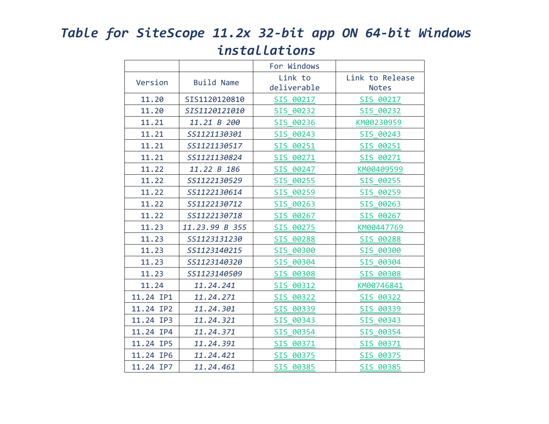## *Table for SiteScope 11.2x 32-bit app ON 64-bit Windows installations*

|           |                   | For Windows            |                                 |
|-----------|-------------------|------------------------|---------------------------------|
| Version   | <b>Build Name</b> | Link to<br>deliverable | Link to Release<br><b>Notes</b> |
| 11.20     | SIS1120120810     | SIS 00217              | SIS 00217                       |
| 11.20     | SIS1120121010     | SIS 00232              | SIS 00232                       |
| 11.21     | 11.21 B 200       | SIS 00236              | KM00230959                      |
| 11.21     | SS1121130301      | SIS 00243              | SIS 00243                       |
| 11.21     | SS1121130517      | SIS 00251              | SIS 00251                       |
| 11.21     | SS1121130824      | SIS 00271              | SIS 00271                       |
| 11.22     | 11.22 B 186       | SIS 00247              | KM00409599                      |
| 11.22     | SS1122130529      | SIS 00255              | SIS 00255                       |
| 11.22     | SS1122130614      | SIS 00259              | SIS 00259                       |
| 11.22     | SS1122130712      | SIS 00263              | SIS 00263                       |
| 11.22     | SS1122130718      | SIS 00267              | SIS 00267                       |
| 11.23     | 11.23.99 B 355    | SIS 00275              | KM00447769                      |
| 11.23     | SS1123131230      | SIS 00288              | SIS 00288                       |
| 11.23     | SS1123140215      | SIS 00300              | SIS 00300                       |
| 11.23     | SS1123140320      | SIS 00304              | SIS 00304                       |
| 11.23     | SS1123140509      | SIS 00308              | SIS 00308                       |
| 11.24     | 11.24.241         | SIS 00312              | KM00746841                      |
| 11.24 IP1 | 11.24.271         | SIS 00322              | SIS 00322                       |
| 11.24 IP2 | 11.24.301         | SIS 00339              | SIS 00339                       |
| 11.24 IP3 | 11.24.321         | SIS 00343              | SIS 00343                       |
| 11.24 IP4 | 11.24.371         | SIS 00354              | SIS 00354                       |
| 11.24 IP5 | 11.24.391         | SIS 00371              | SIS 00371                       |
| 11.24 IP6 | 11.24.421         | SIS 00375              | SIS 00375                       |
| 11.24 IP7 | 11.24.461         | SIS 00385              | SIS 00385                       |
|           |                   |                        |                                 |